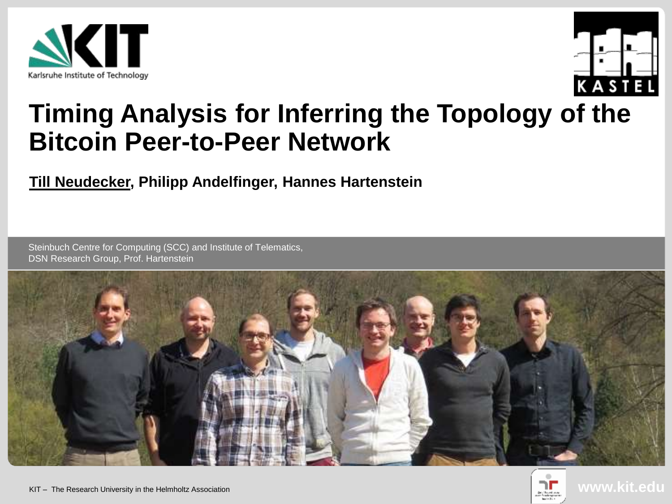



# **Timing Analysis for Inferring the Topology of the Bitcoin Peer-to-Peer Network**

#### **Till Neudecker, Philipp Andelfinger, Hannes Hartenstein**

Steinbuch Centre for Computing (SCC) and Institute of Telematics, DSN Research Group, Prof. Hartenstein



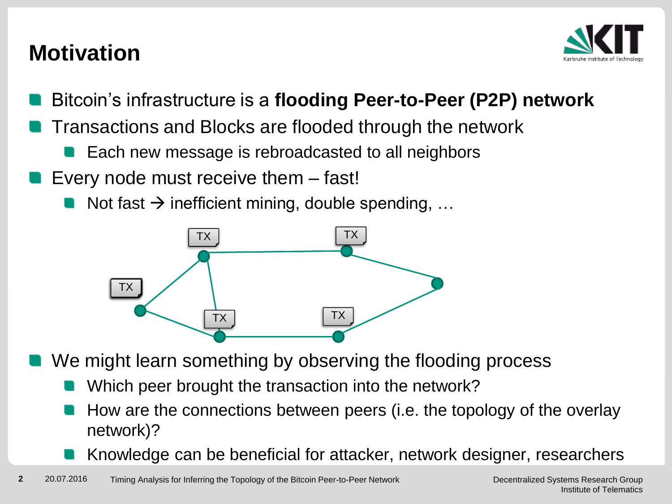## **Motivation**



- Bitcoin's infrastructure is a **flooding Peer-to-Peer (P2P) network**
- Transactions and Blocks are flooded through the network
	- Each new message is rebroadcasted to all neighbors
- Every node must receive them fast!
	- Not fast  $\rightarrow$  inefficient mining, double spending, ...



- We might learn something by observing the flooding process
	- Which peer brought the transaction into the network?
		- How are the connections between peers (i.e. the topology of the overlay network)?
		- Knowledge can be beneficial for attacker, network designer, researchers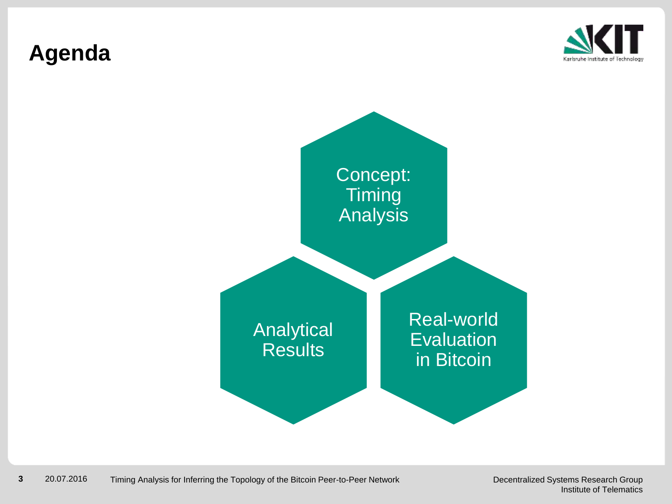## **Agenda**



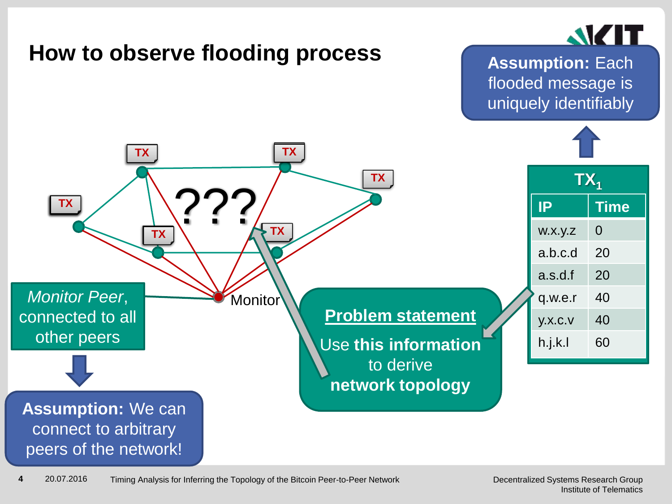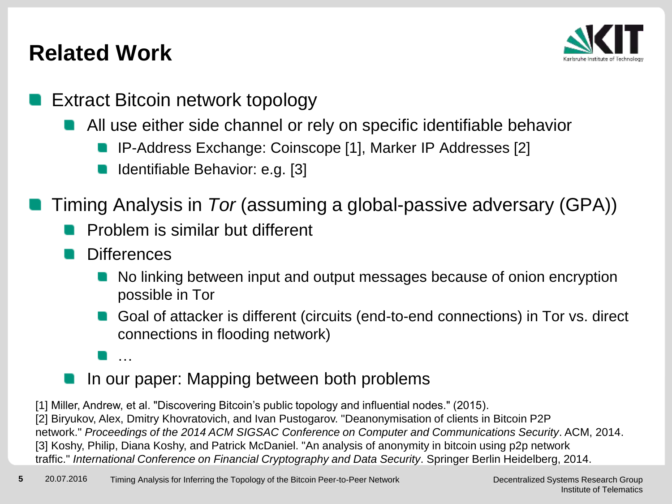## **Related Work**



- Extract Bitcoin network topology
	- **All use either side channel or rely on specific identifiable behavior** 
		- IP-Address Exchange: Coinscope [1], Marker IP Addresses [2]
		- Identifiable Behavior: e.g. [3]
- Timing Analysis in *Tor* (assuming a global-passive adversary (GPA))
	- **Problem is similar but different**
	- **Differences** 
		- No linking between input and output messages because of onion encryption possible in Tor
		- Goal of attacker is different (circuits (end-to-end connections) in Tor vs. direct connections in flooding network)
		- …
		- In our paper: Mapping between both problems

[1] Miller, Andrew, et al. "Discovering Bitcoin's public topology and influential nodes." (2015). [2] Biryukov, Alex, Dmitry Khovratovich, and Ivan Pustogarov. "Deanonymisation of clients in Bitcoin P2P network." *Proceedings of the 2014 ACM SIGSAC Conference on Computer and Communications Security*. ACM, 2014. [3] Koshy, Philip, Diana Koshy, and Patrick McDaniel. "An analysis of anonymity in bitcoin using p2p network traffic." *International Conference on Financial Cryptography and Data Security*. Springer Berlin Heidelberg, 2014.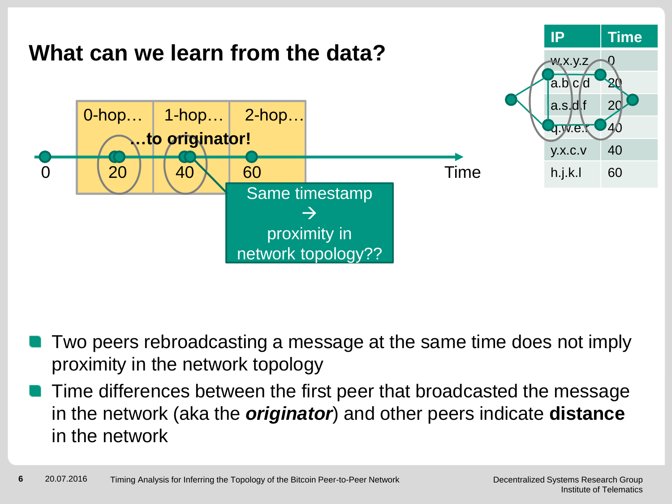

- Two peers rebroadcasting a message at the same time does not imply proximity in the network topology
- Time differences between the first peer that broadcasted the message in the network (aka the *originator*) and other peers indicate **distance** in the network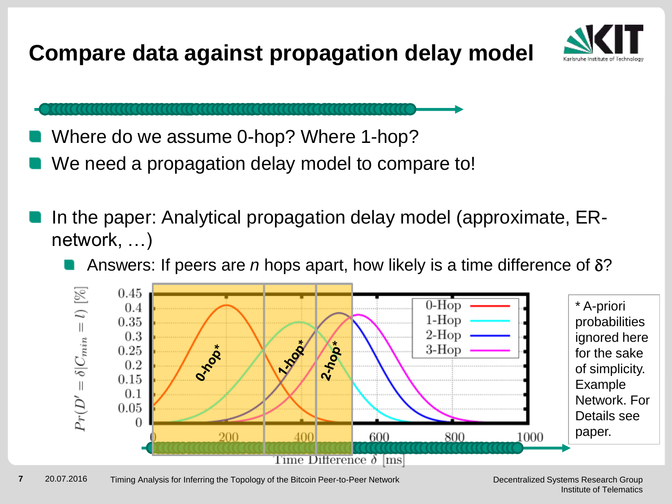**Compare data against propagation delay model**



Where do we assume 0-hop? Where 1-hop?

- We need a propagation delay model to compare to!
- In the paper: Analytical propagation delay model (approximate, ERnetwork, …)
	- Answers: If peers are *n* hops apart, how likely is a time difference of  $\delta$ ?

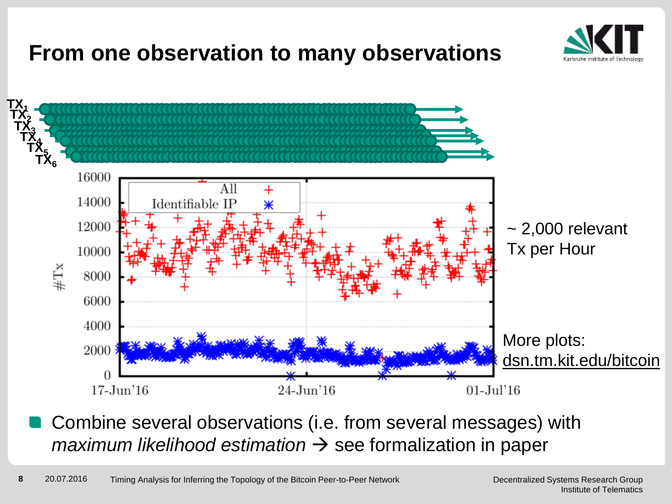## **From one observation to many observations**





Combine several observations (i.e. from several messages) with  $maximum$  likelihood estimation  $\rightarrow$  see formalization in paper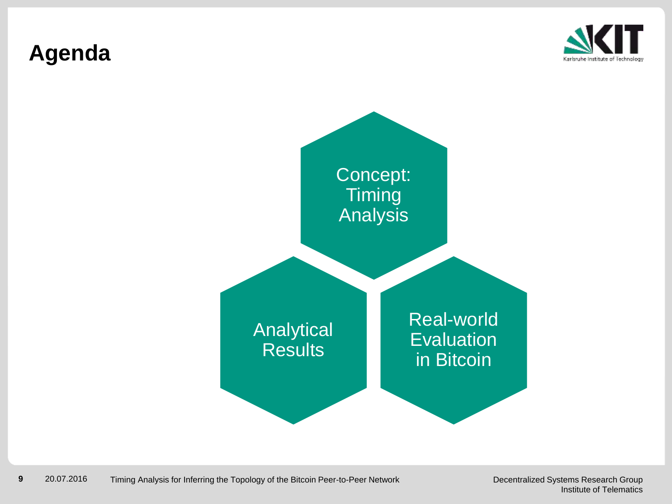## **Agenda**



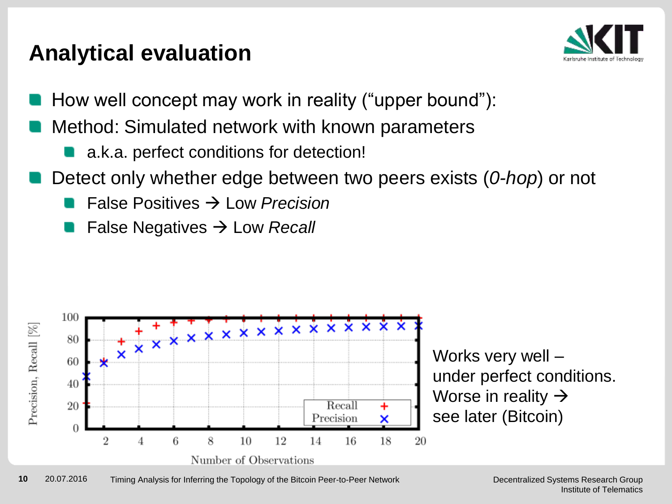## **Analytical evaluation**



- How well concept may work in reality ("upper bound"):
- Method: Simulated network with known parameters
	- a.k.a. perfect conditions for detection!
- Detect only whether edge between two peers exists (*0-hop*) or not
	- False Positives  $\rightarrow$  Low *Precision*
	- False Negatives Low *Recall*



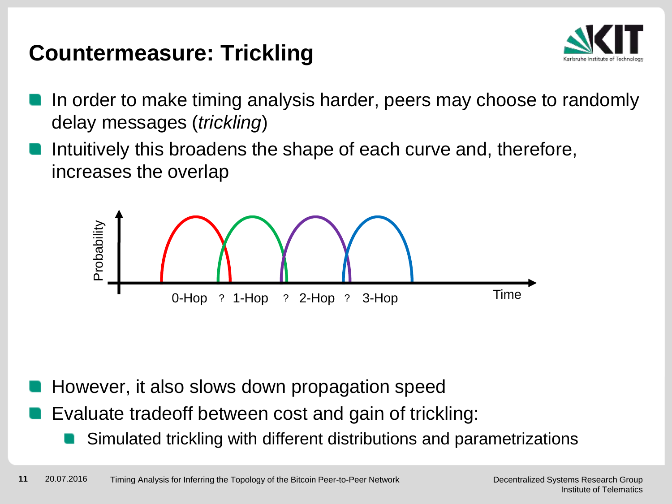## **Countermeasure: Trickling**



- In order to make timing analysis harder, peers may choose to randomly delay messages (*trickling*)
- Intuitively this broadens the shape of each curve and, therefore, increases the overlap



- However, it also slows down propagation speed
- Evaluate tradeoff between cost and gain of trickling:
	- Simulated trickling with different distributions and parametrizations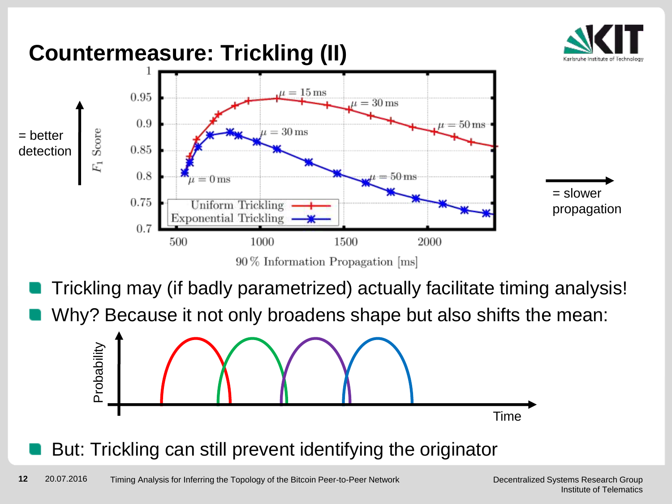

## **Countermeasure: Trickling (II)**



- Trickling may (if badly parametrized) actually facilitate timing analysis!
- Why? Because it not only broadens shape but also shifts the mean:



But: Trickling can still prevent identifying the originator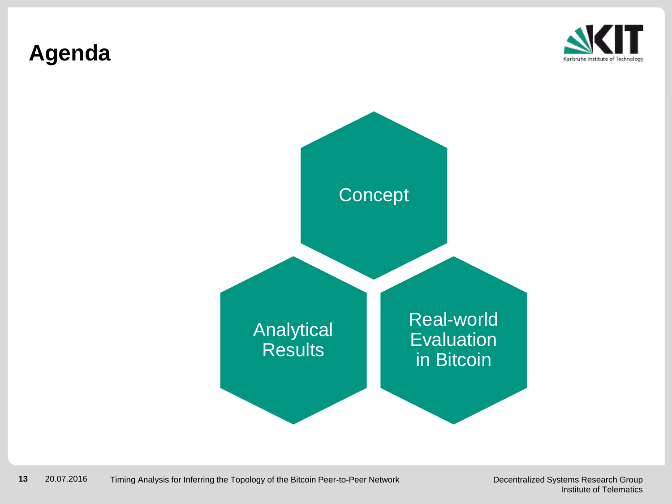## **Agenda**



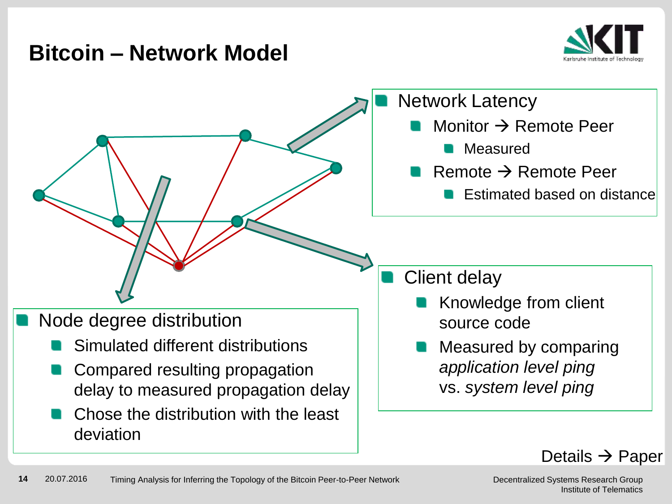#### **Bitcoin – Network Model**



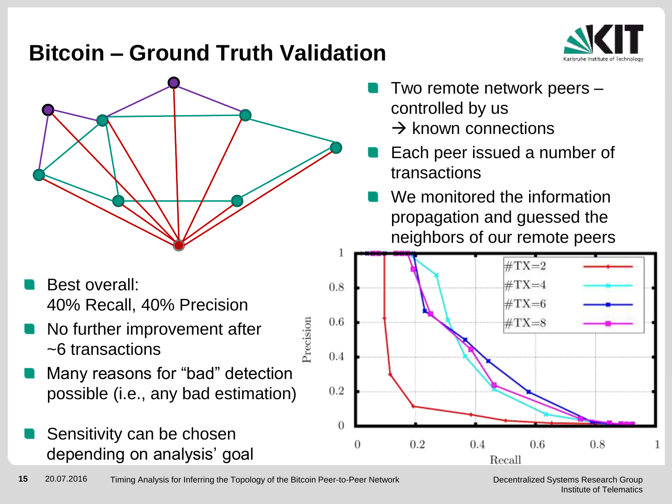## **Bitcoin – Ground Truth Validation**



- Best overall: 40% Recall, 40% Precision
- No further improvement after ~6 transactions
- Many reasons for "bad" detection possible (i.e., any bad estimation)
- Sensitivity can be chosen depending on analysis' goal
- Two remote network peers controlled by us
	- $\rightarrow$  known connections
- Each peer issued a number of transactions
- We monitored the information propagation and guessed the neighbors of our remote peers



Precision

Decentralized Systems Research Group Institute of Telematics

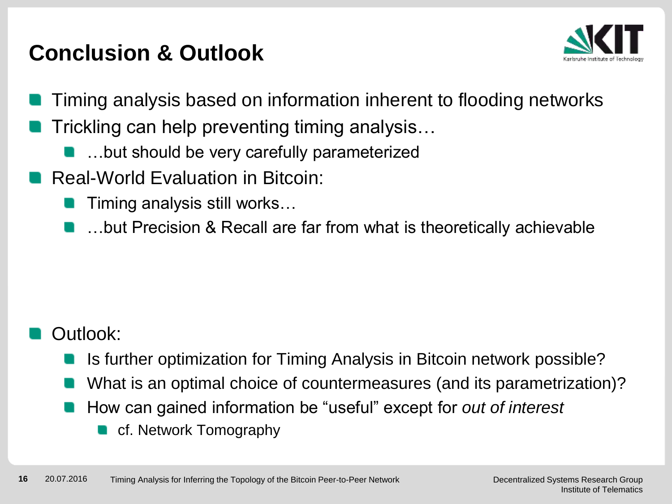## **Conclusion & Outlook**



- Timing analysis based on information inherent to flooding networks
- Trickling can help preventing timing analysis…
	- …but should be very carefully parameterized
- Real-World Evaluation in Bitcoin:
	- Timing analysis still works…
	- …but Precision & Recall are far from what is theoretically achievable

#### Outlook:

- Is further optimization for Timing Analysis in Bitcoin network possible?
- What is an optimal choice of countermeasures (and its parametrization)?
- How can gained information be "useful" except for *out of interest*
	- cf. Network Tomography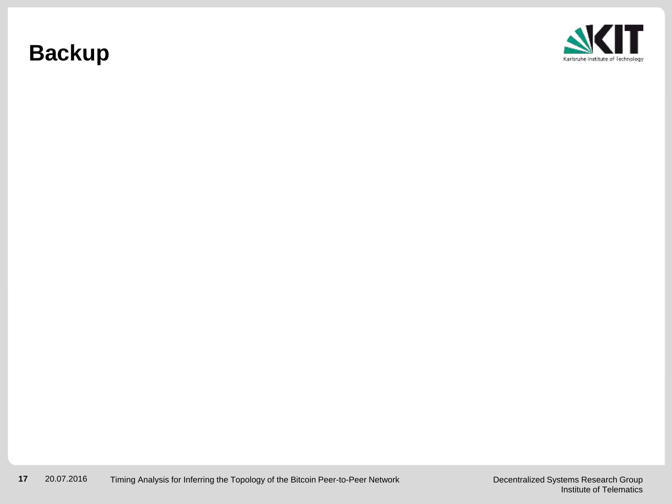## **Backup**

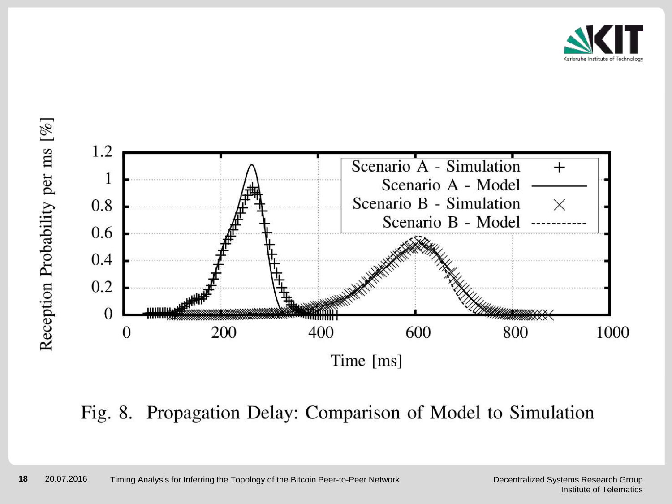





Fig. 8. Propagation Delay: Comparison of Model to Simulation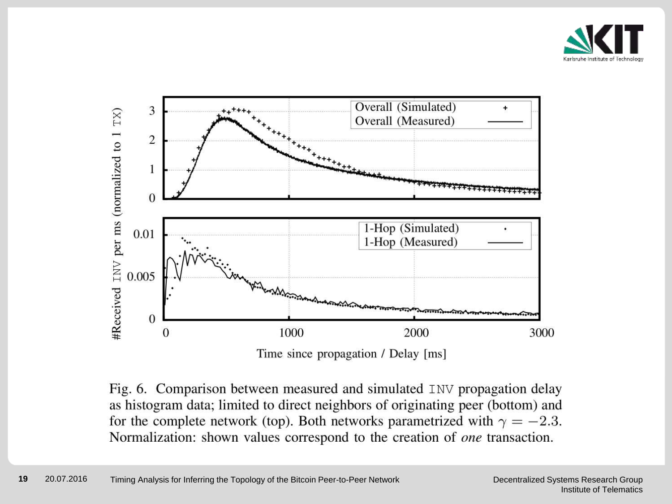



Fig. 6. Comparison between measured and simulated INV propagation delay as histogram data; limited to direct neighbors of originating peer (bottom) and for the complete network (top). Both networks parametrized with  $\gamma = -2.3$ . Normalization: shown values correspond to the creation of one transaction.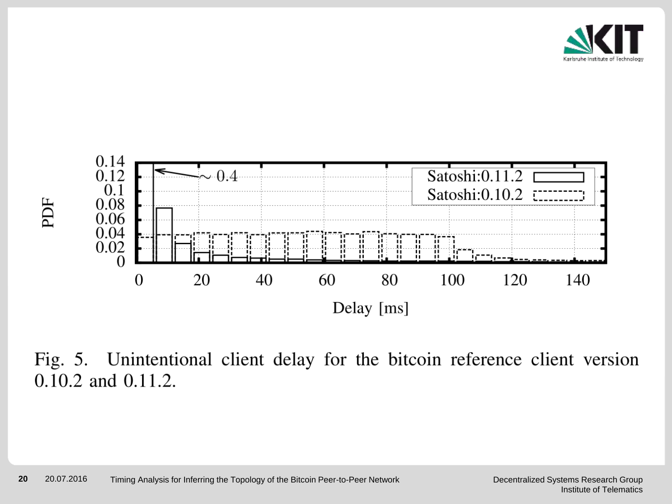



Fig. 5. Unintentional client delay for the bitcoin reference client version 0.10.2 and 0.11.2.